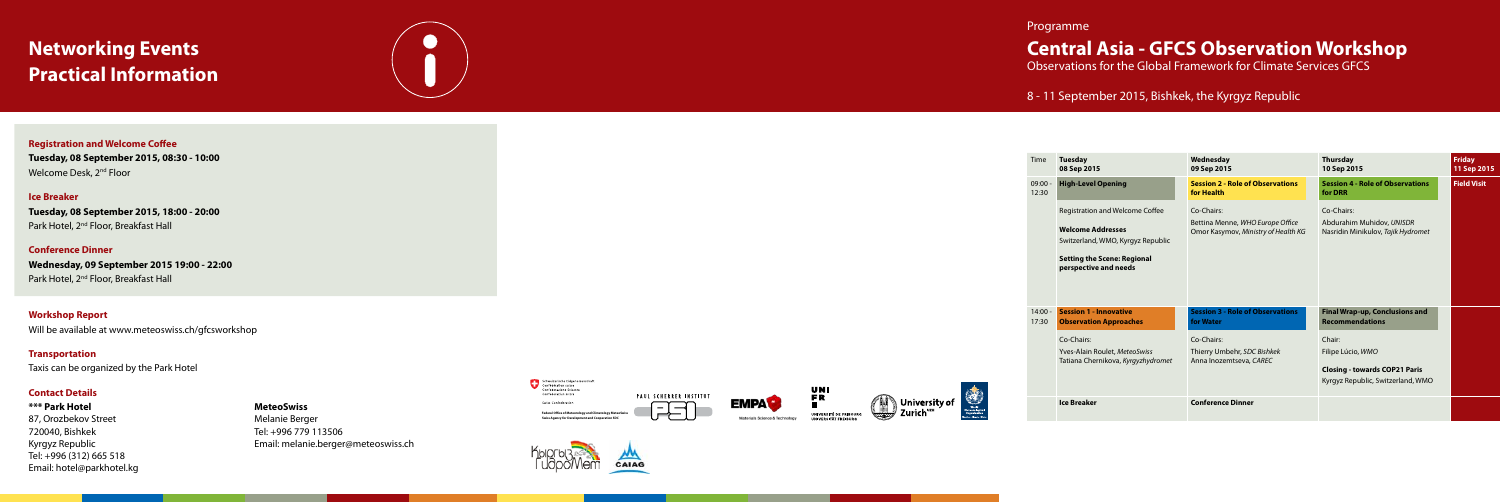#### Programme

### **Central Asia - GFCS Observation Workshop**

Observations for the Global Framework for Climate Services GFCS

#### 8 - 11 September 2015, Bishkek, the Kyrgyz Republic

## **Networking Events Practical Information**



**Registration and Welcome Coffee Tuesday, 08 September 2015, 08:30 - 10:00** Welcome Desk, 2<sup>nd</sup> Floor

| Time               | <b>Tuesday</b><br>08 Sep 2015                                                                                                                                   | Wednesday<br>09 Sep 2015                                                              | <b>Thursday</b><br>10 Sep 2015                                                                           | <b>Friday</b><br>11 Sep 2015 |
|--------------------|-----------------------------------------------------------------------------------------------------------------------------------------------------------------|---------------------------------------------------------------------------------------|----------------------------------------------------------------------------------------------------------|------------------------------|
| $09:00 -$<br>12:30 | <b>High-Level Opening</b>                                                                                                                                       | <b>Session 2 - Role of Observations</b><br>for Health                                 | <b>Session 4 - Role of Observations</b><br>for DRR                                                       | <b>Field Visit</b>           |
|                    | Registration and Welcome Coffee<br><b>Welcome Addresses</b><br>Switzerland, WMO, Kyrgyz Republic<br><b>Setting the Scene: Regional</b><br>perspective and needs | Co-Chairs:<br>Bettina Menne, WHO Europe Office<br>Omor Kasymov, Ministry of Health KG | Co-Chairs:<br>Abdurahim Muhidov, UNISDR<br>Nasridin Minikulov, Tajik Hydromet                            |                              |
| $14:00 -$<br>17:30 | <b>Session 1 - Innovative</b><br><b>Observation Approaches</b>                                                                                                  | <b>Session 3 - Role of Observations</b><br>for Water                                  | Final Wrap-up, Conclusions and<br><b>Recommendations</b>                                                 |                              |
|                    | Co-Chairs:<br>Yves-Alain Roulet, MeteoSwiss<br>Tatiana Chernikova, Kyrgyzhydromet                                                                               | Co-Chairs:<br>Thierry Umbehr, SDC Bishkek<br>Anna Inozemtseva, CAREC                  | Chair:<br>Filipe Lúcio, WMO<br><b>Closing - towards COP21 Paris</b><br>Kyrgyz Republic, Switzerland, WMO |                              |
|                    | <b>Ice Breaker</b>                                                                                                                                              | <b>Conference Dinner</b>                                                              |                                                                                                          |                              |



**Tuesday, 08 September 2015, 18:00 - 20:00** Park Hotel, 2<sup>nd</sup> Floor, Breakfast Hall



**Conference Dinner Wednesday, 09 September 2015 19:00 - 22:00** Park Hotel, 2<sup>nd</sup> Floor, Breakfast Hall







#### **Ice Breaker**

**Workshop Report** Will be available at www.meteoswiss.ch/gfcsworkshop

**Transportation** Taxis can be organized by the Park Hotel

#### **Contact Details**

**\*\*\* Park Hotel** 87, Orozbekov Street 720040, Bishkek Kyrgyz Republic Tel: +996 (312) 665 518 Email: hotel@parkhotel.kg

#### **MeteoSwiss**

Melanie Berger Tel: +996 779 113506 Email: melanie.berger@meteoswiss.ch